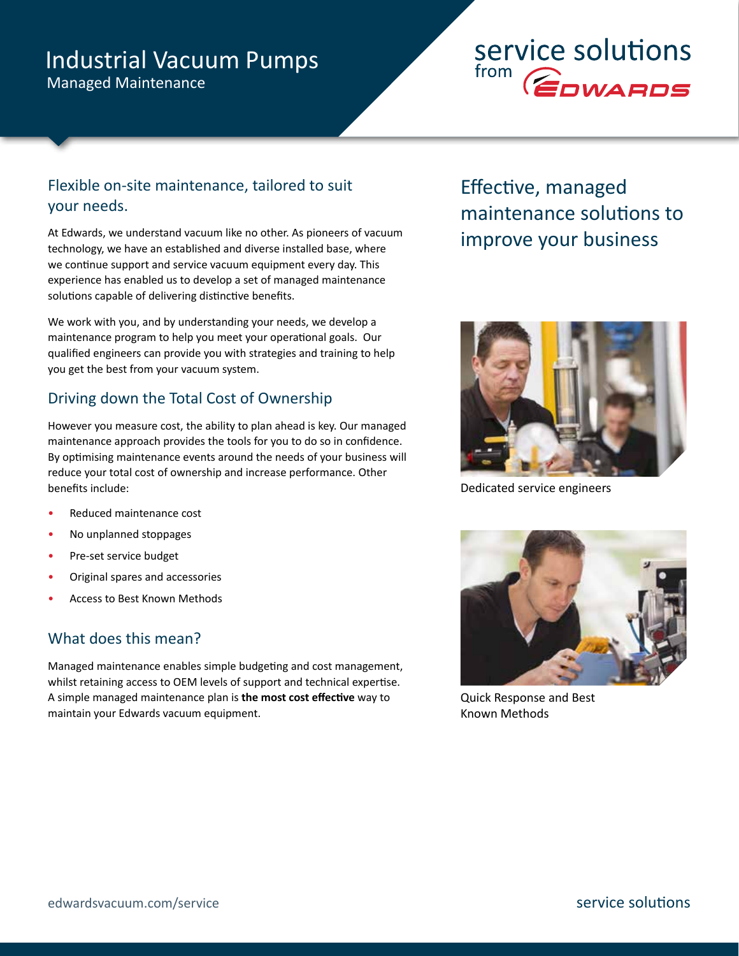# Industrial Vacuum Pumps

Managed Maintenance

# service solutions from **COWARDS**

## Flexible on-site maintenance, tailored to suit your needs.

At Edwards, we understand vacuum like no other. As pioneers of vacuum technology, we have an established and diverse installed base, where we continue support and service vacuum equipment every day. This experience has enabled us to develop a set of managed maintenance solutions capable of delivering distinctive benefits.

We work with you, and by understanding your needs, we develop a maintenance program to help you meet your operational goals. Our qualified engineers can provide you with strategies and training to help you get the best from your vacuum system.

# Driving down the Total Cost of Ownership

However you measure cost, the ability to plan ahead is key. Our managed maintenance approach provides the tools for you to do so in confidence. By optimising maintenance events around the needs of your business will reduce your total cost of ownership and increase performance. Other benefits include:

- Reduced maintenance cost
- No unplanned stoppages
- Pre-set service budget
- Original spares and accessories
- Access to Best Known Methods

## What does this mean?

Managed maintenance enables simple budgeting and cost management, whilst retaining access to OEM levels of support and technical expertise. A simple managed maintenance plan is **the most cost effective** way to maintain your Edwards vacuum equipment.

# Effective, managed maintenance solutions to improve your business



Dedicated service engineers



Quick Response and Best Known Methods